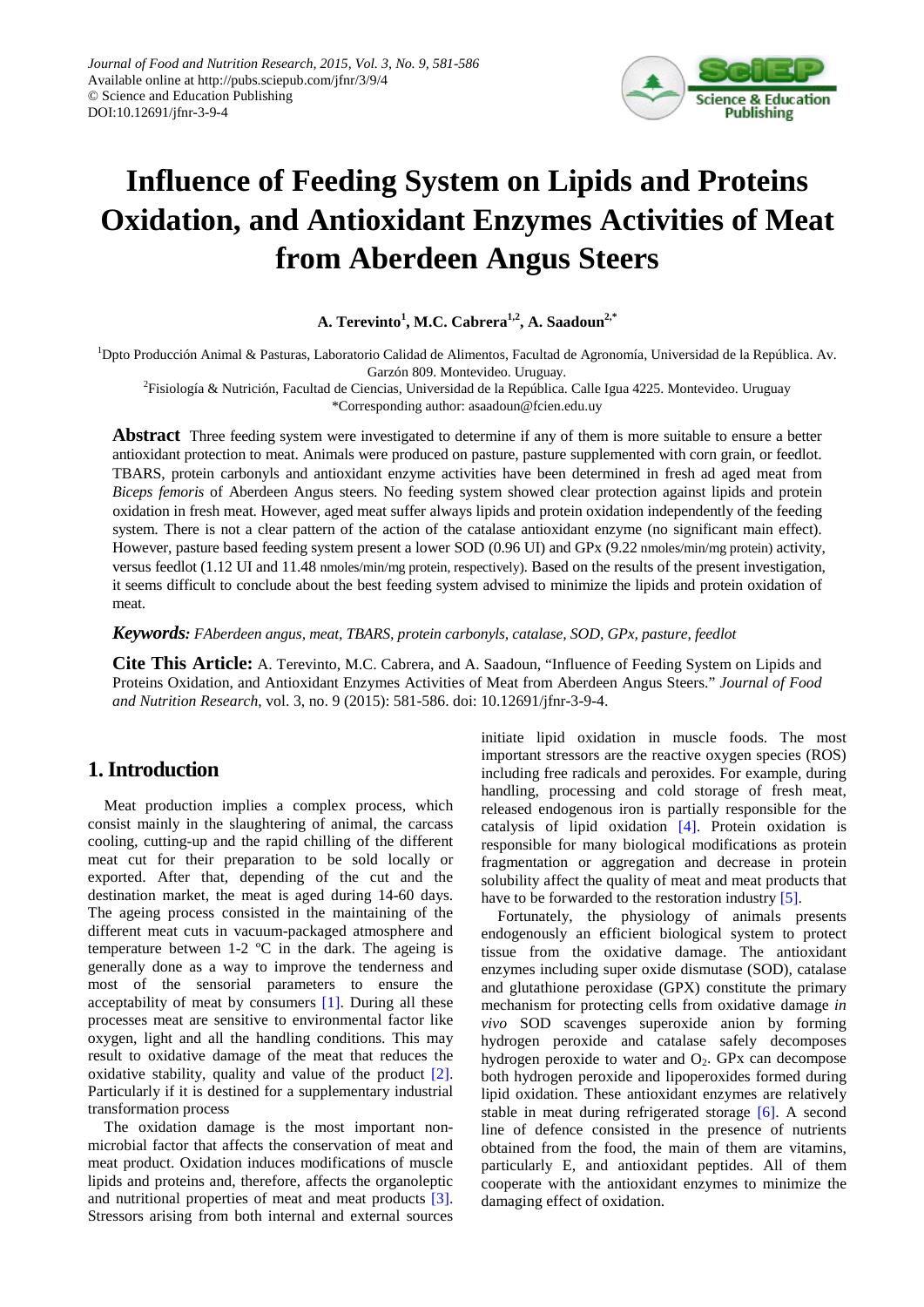

# **Influence of Feeding System on Lipids and Proteins Oxidation, and Antioxidant Enzymes Activities of Meat from Aberdeen Angus Steers**

**A. Terevinto<sup>1</sup> , M.C. Cabrera1,2, A. Saadoun2,\***

<sup>1</sup>Dpto Producción Animal & Pasturas, Laboratorio Calidad de Alimentos, Facultad de Agronomía, Universidad de la República. Av. Garzón 809. Montevideo. Uruguay.

2 Fisiología & Nutrición, Facultad de Ciencias, Universidad de la República. Calle Igua 4225. Montevideo. Uruguay \*Corresponding author: asaadoun@fcien.edu.uy

**Abstract** Three feeding system were investigated to determine if any of them is more suitable to ensure a better antioxidant protection to meat. Animals were produced on pasture, pasture supplemented with corn grain, or feedlot. TBARS, protein carbonyls and antioxidant enzyme activities have been determined in fresh ad aged meat from *Biceps femoris* of Aberdeen Angus steers. No feeding system showed clear protection against lipids and protein oxidation in fresh meat. However, aged meat suffer always lipids and protein oxidation independently of the feeding system. There is not a clear pattern of the action of the catalase antioxidant enzyme (no significant main effect). However, pasture based feeding system present a lower SOD (0.96 UI) and GPx (9.22 nmoles/min/mg protein) activity, versus feedlot (1.12 UI and 11.48 nmoles/min/mg protein, respectively). Based on the results of the present investigation, it seems difficult to conclude about the best feeding system advised to minimize the lipids and protein oxidation of meat.

*Keywords: FAberdeen angus, meat, TBARS, protein carbonyls, catalase, SOD, GPx, pasture, feedlot*

**Cite This Article:** A. Terevinto, M.C. Cabrera, and A. Saadoun, "Influence of Feeding System on Lipids and Proteins Oxidation, and Antioxidant Enzymes Activities of Meat from Aberdeen Angus Steers." *Journal of Food and Nutrition Research*, vol. 3, no. 9 (2015): 581-586. doi: 10.12691/jfnr-3-9-4.

# **1.Introduction**

Meat production implies a complex process, which consist mainly in the slaughtering of animal, the carcass cooling, cutting-up and the rapid chilling of the different meat cut for their preparation to be sold locally or exported. After that, depending of the cut and the destination market, the meat is aged during 14-60 days. The ageing process consisted in the maintaining of the different meat cuts in vacuum-packaged atmosphere and temperature between 1-2 ºC in the dark. The ageing is generally done as a way to improve the tenderness and most of the sensorial parameters to ensure the acceptability of meat by consumers [\[1\].](#page-5-0) During all these processes meat are sensitive to environmental factor like oxygen, light and all the handling conditions. This may result to oxidative damage of the meat that reduces the oxidative stability, quality and value of the product [\[2\].](#page-5-1) Particularly if it is destined for a supplementary industrial transformation process

The oxidation damage is the most important nonmicrobial factor that affects the conservation of meat and meat product. Oxidation induces modifications of muscle lipids and proteins and, therefore, affects the organoleptic and nutritional properties of meat and meat products [\[3\].](#page-5-2) Stressors arising from both internal and external sources initiate lipid oxidation in muscle foods. The most important stressors are the reactive oxygen species (ROS) including free radicals and peroxides. For example, during handling, processing and cold storage of fresh meat, released endogenous iron is partially responsible for the catalysis of lipid oxidation [\[4\].](#page-5-3) Protein oxidation is responsible for many biological modifications as protein fragmentation or aggregation and decrease in protein solubility affect the quality of meat and meat products that have to be forwarded to the restoration industry [\[5\].](#page-5-4)

Fortunately, the physiology of animals presents endogenously an efficient biological system to protect tissue from the oxidative damage. The antioxidant enzymes including super oxide dismutase (SOD), catalase and glutathione peroxidase (GPX) constitute the primary mechanism for protecting cells from oxidative damage *in vivo* SOD scavenges superoxide anion by forming hydrogen peroxide and catalase safely decomposes hydrogen peroxide to water and  $O_2$ . GPx can decompose both hydrogen peroxide and lipoperoxides formed during lipid oxidation. These antioxidant enzymes are relatively stable in meat during refrigerated storage [\[6\].](#page-5-5) A second line of defence consisted in the presence of nutrients obtained from the food, the main of them are vitamins, particularly E, and antioxidant peptides. All of them cooperate with the antioxidant enzymes to minimize the damaging effect of oxidation.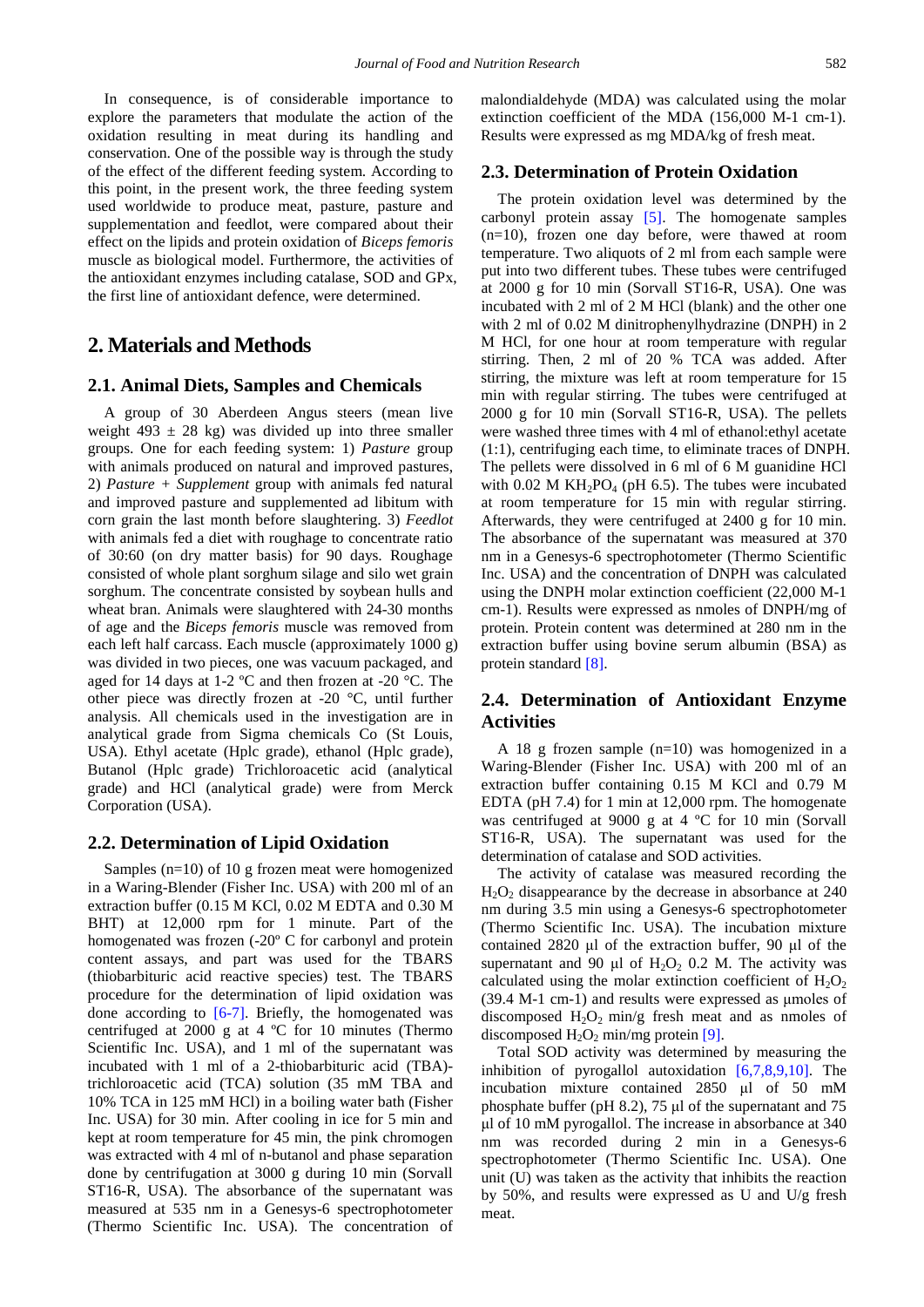In consequence, is of considerable importance to explore the parameters that modulate the action of the oxidation resulting in meat during its handling and conservation. One of the possible way is through the study of the effect of the different feeding system. According to this point, in the present work, the three feeding system used worldwide to produce meat, pasture, pasture and supplementation and feedlot, were compared about their effect on the lipids and protein oxidation of *Biceps femoris* muscle as biological model. Furthermore, the activities of the antioxidant enzymes including catalase, SOD and GPx, the first line of antioxidant defence, were determined.

## **2. Materials and Methods**

#### **2.1. Animal Diets, Samples and Chemicals**

A group of 30 Aberdeen Angus steers (mean live weight 493  $\pm$  28 kg) was divided up into three smaller groups. One for each feeding system: 1) *Pasture* group with animals produced on natural and improved pastures, 2) *Pasture + Supplement* group with animals fed natural and improved pasture and supplemented ad libitum with corn grain the last month before slaughtering. 3) *Feedlot* with animals fed a diet with roughage to concentrate ratio of 30:60 (on dry matter basis) for 90 days. Roughage consisted of whole plant sorghum silage and silo wet grain sorghum. The concentrate consisted by soybean hulls and wheat bran. Animals were slaughtered with 24-30 months of age and the *Biceps femoris* muscle was removed from each left half carcass. Each muscle (approximately 1000 g) was divided in two pieces, one was vacuum packaged, and aged for 14 days at 1-2 ºC and then frozen at -20 °C. The other piece was directly frozen at -20 °C, until further analysis. All chemicals used in the investigation are in analytical grade from Sigma chemicals Co (St Louis, USA). Ethyl acetate (Hplc grade), ethanol (Hplc grade), Butanol (Hplc grade) Trichloroacetic acid (analytical grade) and HCl (analytical grade) were from Merck Corporation (USA).

#### **2.2. Determination of Lipid Oxidation**

Samples (n=10) of 10 g frozen meat were homogenized in a Waring-Blender (Fisher Inc. USA) with 200 ml of an extraction buffer (0.15 M KCl, 0.02 M EDTA and 0.30 M BHT) at  $12,000$  rpm for 1 minute. Part of the homogenated was frozen (-20º C for carbonyl and protein content assays, and part was used for the TBARS (thiobarbituric acid reactive species) test. The TBARS procedure for the determination of lipid oxidation was done according to  $[6-7]$ . Briefly, the homogenated was centrifuged at 2000 g at 4 ºC for 10 minutes (Thermo Scientific Inc. USA), and 1 ml of the supernatant was incubated with 1 ml of a 2-thiobarbituric acid (TBA) trichloroacetic acid (TCA) solution (35 mM TBA and 10% TCA in 125 mM HCl) in a boiling water bath (Fisher Inc. USA) for 30 min. After cooling in ice for 5 min and kept at room temperature for 45 min, the pink chromogen was extracted with 4 ml of n-butanol and phase separation done by centrifugation at 3000 g during 10 min (Sorvall ST16-R, USA). The absorbance of the supernatant was measured at 535 nm in a Genesys-6 spectrophotometer (Thermo Scientific Inc. USA). The concentration of malondialdehyde (MDA) was calculated using the molar extinction coefficient of the MDA (156,000 M-1 cm-1). Results were expressed as mg MDA/kg of fresh meat.

#### **2.3. Determination of Protein Oxidation**

The protein oxidation level was determined by the carbonyl protein assay [\[5\].](#page-5-4) The homogenate samples (n=10), frozen one day before, were thawed at room temperature. Two aliquots of 2 ml from each sample were put into two different tubes. These tubes were centrifuged at 2000 g for 10 min (Sorvall ST16-R, USA). One was incubated with 2 ml of 2 M HCl (blank) and the other one with 2 ml of 0.02 M dinitrophenylhydrazine (DNPH) in 2 M HCl, for one hour at room temperature with regular stirring. Then, 2 ml of 20 % TCA was added. After stirring, the mixture was left at room temperature for 15 min with regular stirring. The tubes were centrifuged at 2000 g for 10 min (Sorvall ST16-R, USA). The pellets were washed three times with 4 ml of ethanol:ethyl acetate (1:1), centrifuging each time, to eliminate traces of DNPH. The pellets were dissolved in 6 ml of 6 M guanidine HCl with 0.02 M  $KH_2PO_4$  (pH 6.5). The tubes were incubated at room temperature for 15 min with regular stirring. Afterwards, they were centrifuged at 2400 g for 10 min. The absorbance of the supernatant was measured at 370 nm in a Genesys-6 spectrophotometer (Thermo Scientific Inc. USA) and the concentration of DNPH was calculated using the DNPH molar extinction coefficient (22,000 M-1 cm-1). Results were expressed as nmoles of DNPH/mg of protein. Protein content was determined at 280 nm in the extraction buffer using bovine serum albumin (BSA) as protein standard [\[8\].](#page-5-6)

## **2.4. Determination of Antioxidant Enzyme Activities**

A 18 g frozen sample (n=10) was homogenized in a Waring-Blender (Fisher Inc. USA) with 200 ml of an extraction buffer containing 0.15 M KCl and 0.79 M EDTA (pH 7.4) for 1 min at 12,000 rpm. The homogenate was centrifuged at 9000 g at 4 ºC for 10 min (Sorvall ST16-R, USA). The supernatant was used for the determination of catalase and SOD activities.

The activity of catalase was measured recording the  $H<sub>2</sub>O<sub>2</sub>$  disappearance by the decrease in absorbance at 240 nm during 3.5 min using a Genesys-6 spectrophotometer (Thermo Scientific Inc. USA). The incubation mixture contained 2820 μl of the extraction buffer, 90 μl of the supernatant and 90 μl of  $H_2O_2$  0.2 M. The activity was calculated using the molar extinction coefficient of  $H_2O_2$ (39.4 M-1 cm-1) and results were expressed as μmoles of discomposed  $H_2O_2$  min/g fresh meat and as nmoles of discomposed  $H_2O_2$  min/mg protein [\[9\].](#page-5-7)

Total SOD activity was determined by measuring the inhibition of pyrogallol autoxidation [\[6,7,8,9,10\].](#page-5-5) The incubation mixture contained 2850 μl of 50 mM phosphate buffer (pH 8.2), 75 μl of the supernatant and 75 μl of 10 mM pyrogallol. The increase in absorbance at 340 nm was recorded during 2 min in a Genesys-6 spectrophotometer (Thermo Scientific Inc. USA). One unit (U) was taken as the activity that inhibits the reaction by 50%, and results were expressed as U and U/g fresh meat.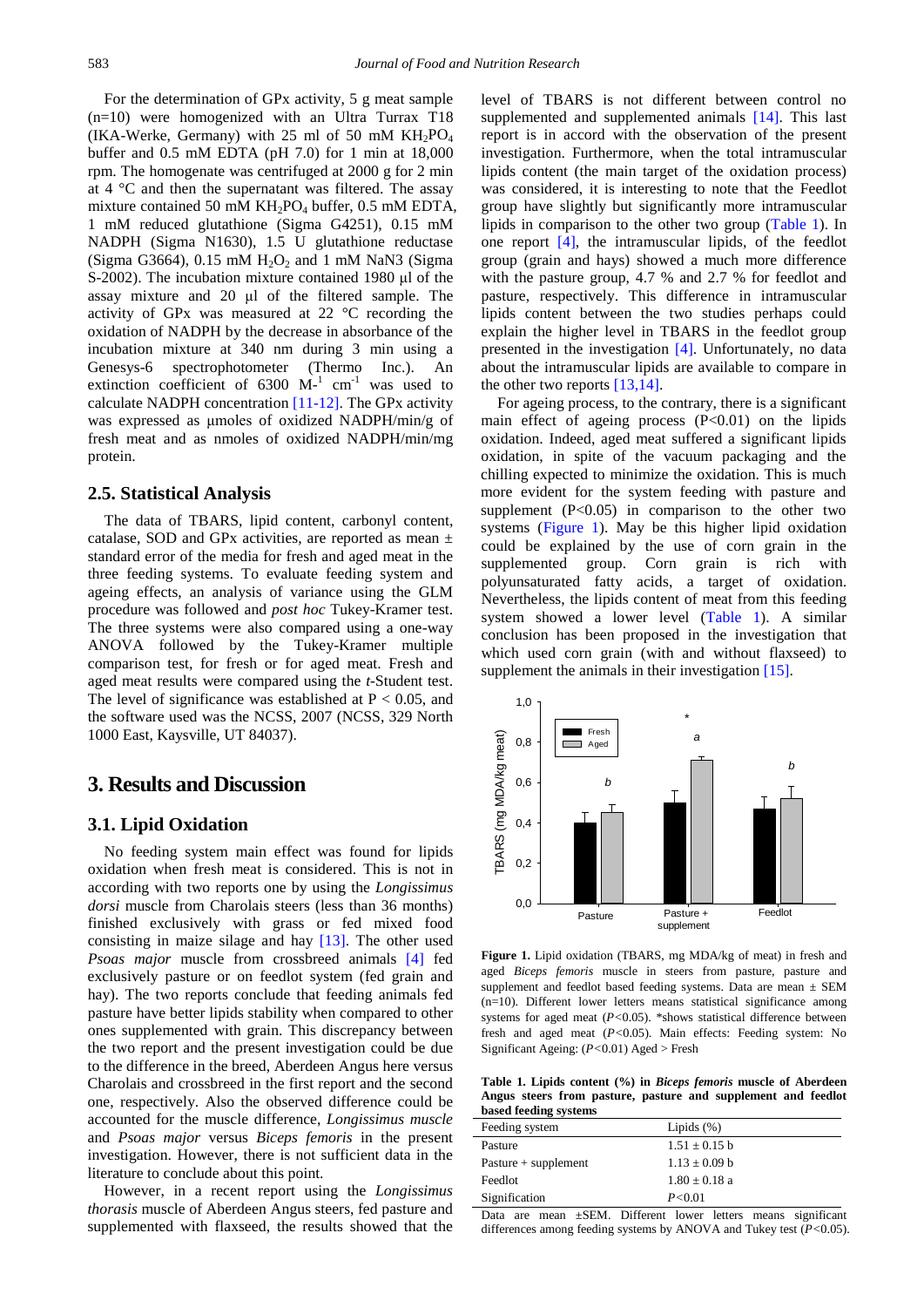For the determination of GPx activity, 5 g meat sample (n=10) were homogenized with an Ultra Turrax T18 (IKA-Werke, Germany) with 25 ml of 50 mM  $KH_2PO_4$ buffer and 0.5 mM EDTA (pH 7.0) for 1 min at 18,000 rpm. The homogenate was centrifuged at 2000 g for 2 min at 4 °C and then the supernatant was filtered. The assay mixture contained 50 mM  $KH_2PO_4$  buffer, 0.5 mM EDTA, 1 mM reduced glutathione (Sigma G4251), 0.15 mM NADPH (Sigma N1630), 1.5 U glutathione reductase (Sigma G3664),  $0.15$  mM  $H<sub>2</sub>O<sub>2</sub>$  and 1 mM NaN3 (Sigma S-2002). The incubation mixture contained 1980 μl of the assay mixture and 20 μl of the filtered sample. The activity of GPx was measured at 22 °C recording the oxidation of NADPH by the decrease in absorbance of the incubation mixture at 340 nm during 3 min using a Genesys-6 spectrophotometer (Thermo Inc.). An extinction coefficient of  $6300 \text{ M}^{-1} \text{ cm}^{-1}$  was used to calculate NADPH concentration [\[11-12\].](#page-5-8) The GPx activity was expressed as μmoles of oxidized NADPH/min/g of fresh meat and as nmoles of oxidized NADPH/min/mg protein.

#### **2.5. Statistical Analysis**

The data of TBARS, lipid content, carbonyl content, catalase, SOD and GPx activities, are reported as mean  $\pm$ standard error of the media for fresh and aged meat in the three feeding systems. To evaluate feeding system and ageing effects, an analysis of variance using the GLM procedure was followed and *post hoc* Tukey-Kramer test. The three systems were also compared using a one-way ANOVA followed by the Tukey-Kramer multiple comparison test, for fresh or for aged meat. Fresh and aged meat results were compared using the *t*-Student test. The level of significance was established at  $P < 0.05$ , and the software used was the NCSS, 2007 (NCSS, 329 North 1000 East, Kaysville, UT 84037).

#### **3. Results and Discussion**

#### **3.1. Lipid Oxidation**

No feeding system main effect was found for lipids oxidation when fresh meat is considered. This is not in according with two reports one by using the *Longissimus dorsi* muscle from Charolais steers (less than 36 months) finished exclusively with grass or fed mixed food consisting in maize silage and hay [\[13\].](#page-5-9) The other used *Psoas major* muscle from crossbreed animals [\[4\]](#page-5-3) fed exclusively pasture or on feedlot system (fed grain and hay). The two reports conclude that feeding animals fed pasture have better lipids stability when compared to other ones supplemented with grain. This discrepancy between the two report and the present investigation could be due to the difference in the breed, Aberdeen Angus here versus Charolais and crossbreed in the first report and the second one, respectively. Also the observed difference could be accounted for the muscle difference, *Longissimus muscle* and *Psoas major* versus *Biceps femoris* in the present investigation. However, there is not sufficient data in the literature to conclude about this point.

However, in a recent report using the *Longissimus thorasis* muscle of Aberdeen Angus steers, fed pasture and supplemented with flaxseed, the results showed that the level of TBARS is not different between control no supplemented and supplemented animals [\[14\].](#page-5-10) This last report is in accord with the observation of the present investigation. Furthermore, when the total intramuscular lipids content (the main target of the oxidation process) was considered, it is interesting to note that the Feedlot group have slightly but significantly more intramuscular lipids in comparison to the other two group [\(Table](#page-2-0) 1). In one report [\[4\],](#page-5-3) the intramuscular lipids, of the feedlot group (grain and hays) showed a much more difference with the pasture group, 4.7 % and 2.7 % for feedlot and pasture, respectively. This difference in intramuscular lipids content between the two studies perhaps could explain the higher level in TBARS in the feedlot group presented in the investigation [\[4\].](#page-5-3) Unfortunately, no data about the intramuscular lipids are available to compare in the other two reports [\[13,14\].](#page-5-9)

For ageing process, to the contrary, there is a significant main effect of ageing process  $(P<0.01)$  on the lipids oxidation. Indeed, aged meat suffered a significant lipids oxidation, in spite of the vacuum packaging and the chilling expected to minimize the oxidation. This is much more evident for the system feeding with pasture and supplement  $(P<0.05)$  in comparison to the other two systems [\(Figure](#page-2-1) 1). May be this higher lipid oxidation could be explained by the use of corn grain in the supplemented group. Corn grain is rich with polyunsaturated fatty acids, a target of oxidation. Nevertheless, the lipids content of meat from this feeding system showed a lower level [\(Table](#page-2-0) 1). A similar conclusion has been proposed in the investigation that which used corn grain (with and without flaxseed) to supplement the animals in their investigation [\[15\].](#page-5-11)

<span id="page-2-1"></span>

**Figure 1.** Lipid oxidation (TBARS, mg MDA/kg of meat) in fresh and aged *Biceps femoris* muscle in steers from pasture, pasture and supplement and feedlot based feeding systems. Data are mean  $\pm$  SEM (n=10). Different lower letters means statistical significance among systems for aged meat (*P<*0.05). \*shows statistical difference between fresh and aged meat (*P<*0.05). Main effects: Feeding system: No Significant Ageing: (*P<*0.01) Aged > Fresh

**Table 1. Lipids content (%) in** *Biceps femoris* **muscle of Aberdeen Angus steers from pasture, pasture and supplement and feedlot based feeding systems**

<span id="page-2-0"></span>

| Feeding system                              | Lipids $(\%)$                                                                                                                                                                                                                                                                                                                                         |
|---------------------------------------------|-------------------------------------------------------------------------------------------------------------------------------------------------------------------------------------------------------------------------------------------------------------------------------------------------------------------------------------------------------|
| Pasture                                     | $1.51 \pm 0.15$ b                                                                                                                                                                                                                                                                                                                                     |
| Pasture $+$ supplement                      | $1.13 \pm 0.09$ b                                                                                                                                                                                                                                                                                                                                     |
| Feedlot                                     | $1.80 \pm 0.18$ a                                                                                                                                                                                                                                                                                                                                     |
| Signification                               | P < 0.01                                                                                                                                                                                                                                                                                                                                              |
| $200$ masses $CEM$<br>$\mathbf{D}_{\alpha}$ | aignificant<br>$\mathbf{D}$ : $\mathbf{f}$ $\mathbf{f}$ $\mathbf{g}$ $\mathbf{g}$ $\mathbf{g}$ $\mathbf{f}$ $\mathbf{g}$ $\mathbf{g}$ $\mathbf{g}$ $\mathbf{g}$ $\mathbf{g}$ $\mathbf{g}$ $\mathbf{g}$ $\mathbf{g}$ $\mathbf{g}$ $\mathbf{g}$ $\mathbf{g}$ $\mathbf{g}$ $\mathbf{g}$ $\mathbf{g}$ $\mathbf{g}$ $\mathbf{g}$ $\mathbf{g}$ $\mathbf{g}$ |

are mean  $\pm$ SEM. Different lower letters means significant differences among feeding systems by ANOVA and Tukey test (*P<*0.05).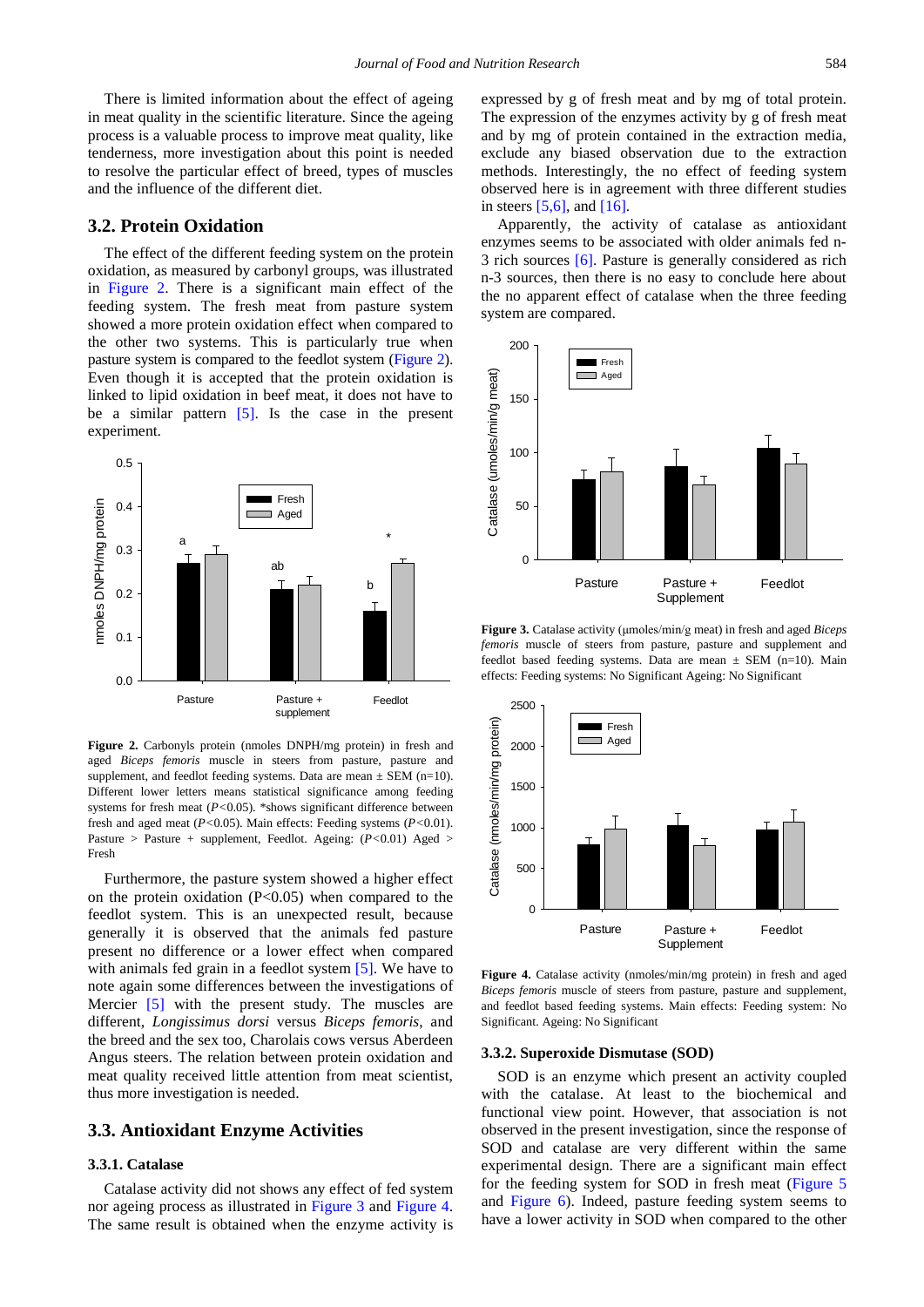There is limited information about the effect of ageing in meat quality in the scientific literature. Since the ageing process is a valuable process to improve meat quality, like tenderness, more investigation about this point is needed to resolve the particular effect of breed, types of muscles and the influence of the different diet.

#### **3.2. Protein Oxidation**

The effect of the different feeding system on the protein oxidation, as measured by carbonyl groups, was illustrated in [Figure](#page-3-0) 2. There is a significant main effect of the feeding system. The fresh meat from pasture system showed a more protein oxidation effect when compared to the other two systems. This is particularly true when pasture system is compared to the feedlot system [\(Figure](#page-3-0) 2). Even though it is accepted that the protein oxidation is linked to lipid oxidation in beef meat, it does not have to be a similar pattern  $[5]$ . Is the case in the present experiment.

<span id="page-3-0"></span>

**Figure 2.** Carbonyls protein (nmoles DNPH/mg protein) in fresh and aged *Biceps femoris* muscle in steers from pasture, pasture and supplement, and feedlot feeding systems. Data are mean  $\pm$  SEM (n=10). Different lower letters means statistical significance among feeding systems for fresh meat (*P<*0.05). \*shows significant difference between fresh and aged meat (*P<*0.05). Main effects: Feeding systems (*P<*0.01). Pasture > Pasture + supplement, Feedlot. Ageing: (*P<*0.01) Aged > Fresh

Furthermore, the pasture system showed a higher effect on the protein oxidation  $(P<0.05)$  when compared to the feedlot system. This is an unexpected result, because generally it is observed that the animals fed pasture present no difference or a lower effect when compared with animals fed grain in a feedlot system [\[5\].](#page-5-4) We have to note again some differences between the investigations of Mercier [\[5\]](#page-5-4) with the present study. The muscles are different, *Longissimus dorsi* versus *Biceps femoris*, and the breed and the sex too, Charolais cows versus Aberdeen Angus steers. The relation between protein oxidation and meat quality received little attention from meat scientist, thus more investigation is needed.

#### **3.3. Antioxidant Enzyme Activities**

#### **3.3.1. Catalase**

Catalase activity did not shows any effect of fed system nor ageing process as illustrated in [Figure](#page-3-1) 3 and [Figure](#page-3-2) 4. The same result is obtained when the enzyme activity is expressed by g of fresh meat and by mg of total protein. The expression of the enzymes activity by g of fresh meat and by mg of protein contained in the extraction media, exclude any biased observation due to the extraction methods. Interestingly, the no effect of feeding system observed here is in agreement with three different studies in steers  $[5,6]$ , and  $[16]$ .

Apparently, the activity of catalase as antioxidant enzymes seems to be associated with older animals fed n-3 rich sources [\[6\].](#page-5-5) Pasture is generally considered as rich n-3 sources, then there is no easy to conclude here about the no apparent effect of catalase when the three feeding system are compared.

<span id="page-3-1"></span>

**Figure 3.** Catalase activity (μmoles/min/g meat) in fresh and aged *Biceps femoris* muscle of steers from pasture, pasture and supplement and feedlot based feeding systems. Data are mean  $\pm$  SEM (n=10). Main effects: Feeding systems: No Significant Ageing: No Significant

<span id="page-3-2"></span>

**Figure 4.** Catalase activity (nmoles/min/mg protein) in fresh and aged *Biceps femoris* muscle of steers from pasture, pasture and supplement, and feedlot based feeding systems. Main effects: Feeding system: No Significant. Ageing: No Significant

#### **3.3.2. Superoxide Dismutase (SOD)**

SOD is an enzyme which present an activity coupled with the catalase. At least to the biochemical and functional view point. However, that association is not observed in the present investigation, since the response of SOD and catalase are very different within the same experimental design. There are a significant main effect for the feeding system for SOD in fresh meat [\(Figure](#page-4-0) 5 and [Figure](#page-4-1) 6). Indeed, pasture feeding system seems to have a lower activity in SOD when compared to the other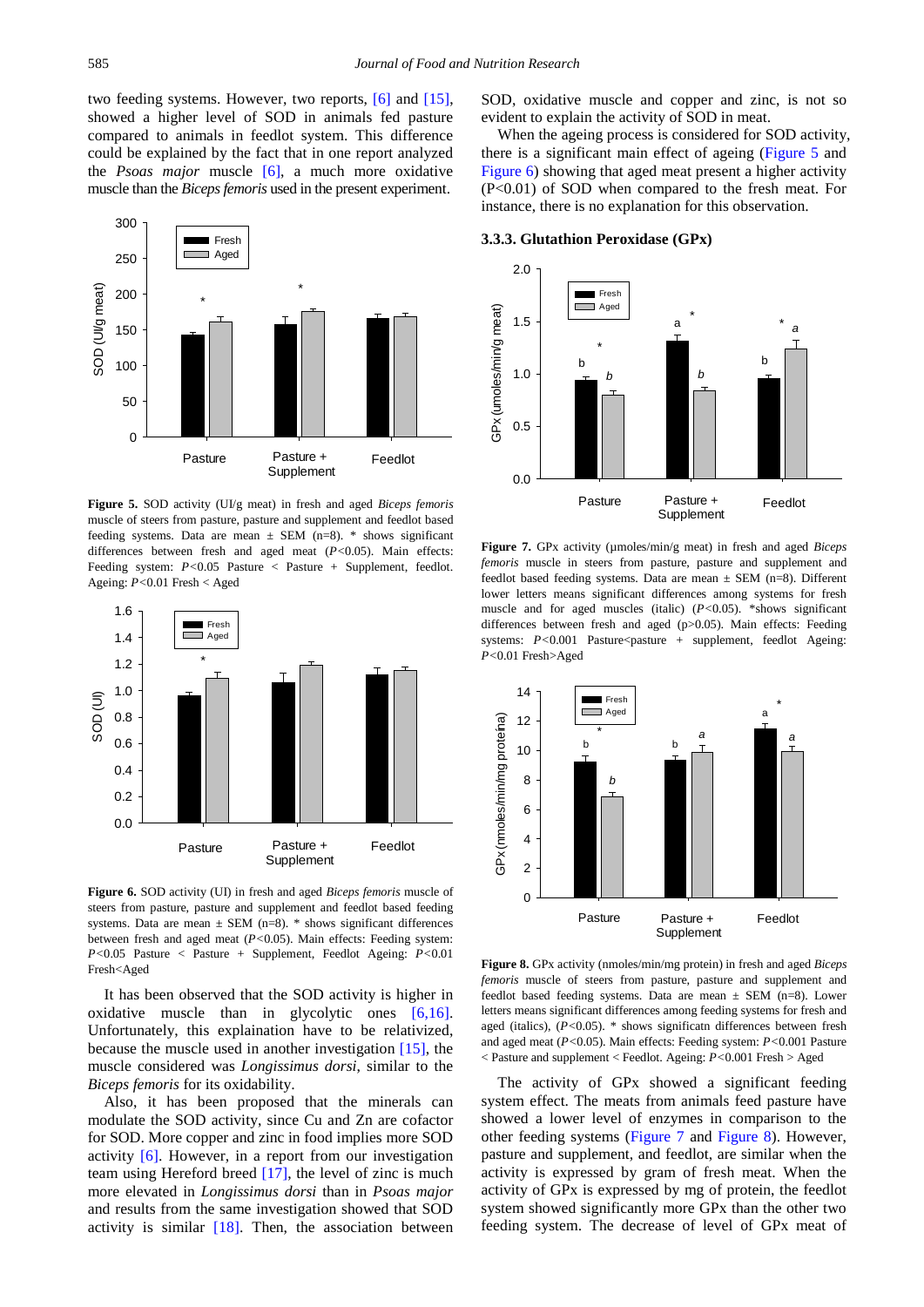two feeding systems. However, two reports, [\[6\]](#page-5-5) and [\[15\],](#page-5-11) showed a higher level of SOD in animals fed pasture compared to animals in feedlot system. This difference could be explained by the fact that in one report analyzed the *Psoas major* muscle [\[6\],](#page-5-5) a much more oxidative muscle than the *Biceps femoris* used in the present experiment.

<span id="page-4-0"></span>

**Figure 5.** SOD activity (UI/g meat) in fresh and aged *Biceps femoris* muscle of steers from pasture, pasture and supplement and feedlot based feeding systems. Data are mean  $\pm$  SEM (n=8). \* shows significant differences between fresh and aged meat (*P<*0.05). Main effects: Feeding system:  $P < 0.05$  Pasture < Pasture + Supplement, feedlot. Ageing: *P<*0.01 Fresh < Aged

<span id="page-4-1"></span>

**Figure 6.** SOD activity (UI) in fresh and aged *Biceps femoris* muscle of steers from pasture, pasture and supplement and feedlot based feeding systems. Data are mean  $\pm$  SEM (n=8). \* shows significant differences between fresh and aged meat (*P<*0.05). Main effects: Feeding system: *P<*0.05 Pasture < Pasture + Supplement, Feedlot Ageing: *P<*0.01 Fresh<Aged

It has been observed that the SOD activity is higher in oxidative muscle than in glycolytic ones [\[6,16\].](#page-5-5) Unfortunately, this explaination have to be relativized, because the muscle used in another investigation [\[15\],](#page-5-11) the muscle considered was *Longissimus dorsi*, similar to the *Biceps femoris* for its oxidability.

Also, it has been proposed that the minerals can modulate the SOD activity, since Cu and Zn are cofactor for SOD. More copper and zinc in food implies more SOD activity [\[6\].](#page-5-5) However, in a report from our investigation team using Hereford breed [\[17\],](#page-5-13) the level of zinc is much more elevated in *Longissimus dorsi* than in *Psoas major* and results from the same investigation showed that SOD activity is similar  $[18]$ . Then, the association between SOD, oxidative muscle and copper and zinc, is not so evident to explain the activity of SOD in meat.

When the ageing process is considered for SOD activity, there is a significant main effect of ageing [\(Figure](#page-4-0) 5 and [Figure](#page-4-1) 6) showing that aged meat present a higher activity (P<0.01) of SOD when compared to the fresh meat. For instance, there is no explanation for this observation.

#### **3.3.3. Glutathion Peroxidase (GPx)**

<span id="page-4-2"></span>

**Figure 7.** GPx activity (µmoles/min/g meat) in fresh and aged *Biceps femoris* muscle in steers from pasture, pasture and supplement and feedlot based feeding systems. Data are mean  $\pm$  SEM (n=8). Different lower letters means significant differences among systems for fresh muscle and for aged muscles (italic) (*P<*0.05). \*shows significant differences between fresh and aged (p>0.05). Main effects: Feeding systems:  $P < 0.001$  Pasture<pasture + supplement, feedlot Ageing: *P<*0.01 Fresh>Aged

<span id="page-4-3"></span>

**Figure 8.** GPx activity (nmoles/min/mg protein) in fresh and aged *Biceps femoris* muscle of steers from pasture, pasture and supplement and feedlot based feeding systems. Data are mean  $\pm$  SEM (n=8). Lower letters means significant differences among feeding systems for fresh and aged (italics), (*P<*0.05). \* shows significatn differences between fresh and aged meat (*P<*0.05). Main effects: Feeding system: *P<*0.001 Pasture < Pasture and supplement < Feedlot. Ageing: *P<*0.001 Fresh > Aged

The activity of GPx showed a significant feeding system effect. The meats from animals feed pasture have showed a lower level of enzymes in comparison to the other feeding systems [\(Figure](#page-4-2) 7 and [Figure](#page-4-3) 8). However, pasture and supplement, and feedlot, are similar when the activity is expressed by gram of fresh meat. When the activity of GPx is expressed by mg of protein, the feedlot system showed significantly more GPx than the other two feeding system. The decrease of level of GPx meat of